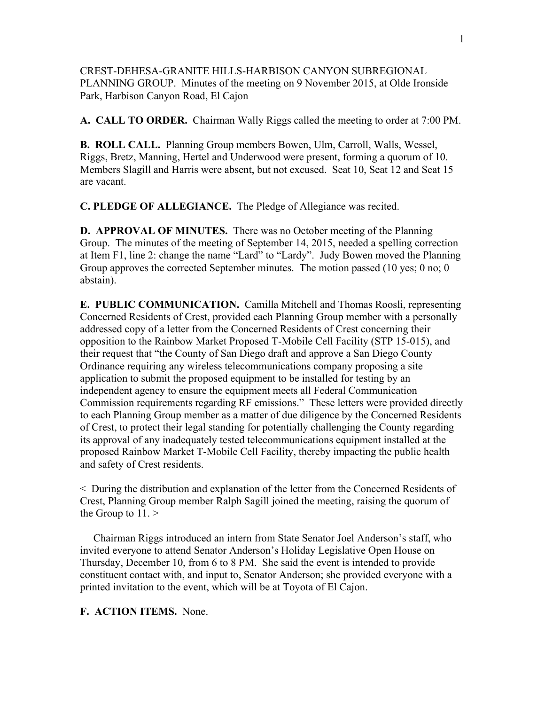CREST-DEHESA-GRANITE HILLS-HARBISON CANYON SUBREGIONAL PLANNING GROUP. Minutes of the meeting on 9 November 2015, at Olde Ironside Park, Harbison Canyon Road, El Cajon

**A. CALL TO ORDER.** Chairman Wally Riggs called the meeting to order at 7:00 PM.

**B. ROLL CALL.** Planning Group members Bowen, Ulm, Carroll, Walls, Wessel, Riggs, Bretz, Manning, Hertel and Underwood were present, forming a quorum of 10. Members Slagill and Harris were absent, but not excused. Seat 10, Seat 12 and Seat 15 are vacant.

**C. PLEDGE OF ALLEGIANCE.** The Pledge of Allegiance was recited.

**D. APPROVAL OF MINUTES.** There was no October meeting of the Planning Group. The minutes of the meeting of September 14, 2015, needed a spelling correction at Item F1, line 2: change the name "Lard" to "Lardy". Judy Bowen moved the Planning Group approves the corrected September minutes. The motion passed (10 yes; 0 no; 0 abstain).

**E. PUBLIC COMMUNICATION.** Camilla Mitchell and Thomas Roosli, representing Concerned Residents of Crest, provided each Planning Group member with a personally addressed copy of a letter from the Concerned Residents of Crest concerning their opposition to the Rainbow Market Proposed T-Mobile Cell Facility (STP 15-015), and their request that "the County of San Diego draft and approve a San Diego County Ordinance requiring any wireless telecommunications company proposing a site application to submit the proposed equipment to be installed for testing by an independent agency to ensure the equipment meets all Federal Communication Commission requirements regarding RF emissions." These letters were provided directly to each Planning Group member as a matter of due diligence by the Concerned Residents of Crest, to protect their legal standing for potentially challenging the County regarding its approval of any inadequately tested telecommunications equipment installed at the proposed Rainbow Market T-Mobile Cell Facility, thereby impacting the public health and safety of Crest residents.

< During the distribution and explanation of the letter from the Concerned Residents of Crest, Planning Group member Ralph Sagill joined the meeting, raising the quorum of the Group to  $11.$  >

 Chairman Riggs introduced an intern from State Senator Joel Anderson's staff, who invited everyone to attend Senator Anderson's Holiday Legislative Open House on Thursday, December 10, from 6 to 8 PM. She said the event is intended to provide constituent contact with, and input to, Senator Anderson; she provided everyone with a printed invitation to the event, which will be at Toyota of El Cajon.

**F. ACTION ITEMS.** None.